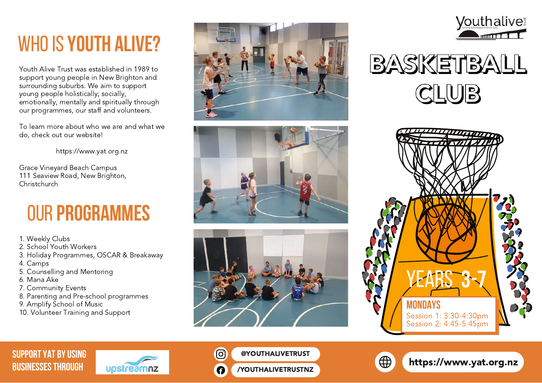# whoIS **YOUTH ALIVE?**

Youth Alive Trust was established in 1989 to support young people in New Brighton and surrounding suburbs. We aim to support young people holistically; socially, emotionally, mentally and spiritually through our programmes, our staff and volunteers.

To learn more about who we are and what we do, check out our website!

https://www.yat.org.nz

Grace Vineyard Beach Campus 111 Seaview Road, New Brighton, Christchurch

## our **Programmes**

- 1. Weekly Clubs
- 2. School Youth Workers
- 3. Holiday Programmes, OSCAR & Breakaway
- 4. Camps
- 5. Counselling and Mentoring
- 6. Mana Ake
- 7. Community Events
- 8. Parenting and Pre-school programmes
- 9. Amplify School of Music
- 10. Volunteer Training and Support













### **SUPPORT YAT BY USING**